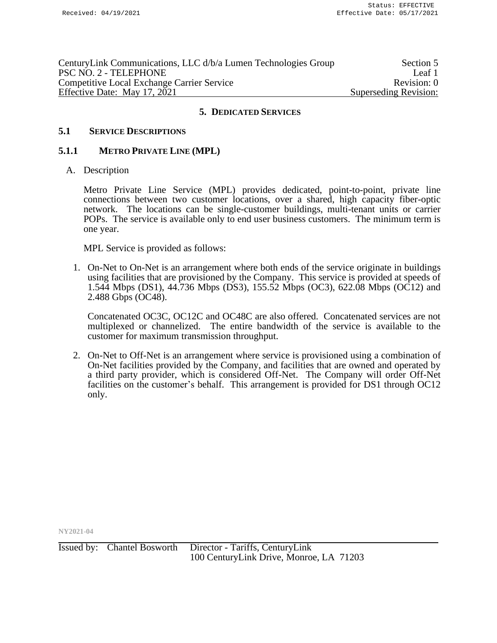| CenturyLink Communications, LLC d/b/a Lumen Technologies Group | Section 5             |
|----------------------------------------------------------------|-----------------------|
| PSC NO. 2 - TELEPHONE                                          | Leaf 1                |
| <b>Competitive Local Exchange Carrier Service</b>              | Revision: 0           |
| Effective Date: May 17, 2021                                   | Superseding Revision: |

### **5.1 SERVICE DESCRIPTIONS**

#### **5.1.1 METRO PRIVATE LINE (MPL)**

A. Description

Metro Private Line Service (MPL) provides dedicated, point-to-point, private line connections between two customer locations, over a shared, high capacity fiber-optic network. The locations can be single-customer buildings, multi-tenant units or carrier POPs. The service is available only to end user business customers. The minimum term is one year.

MPL Service is provided as follows:

1. On-Net to On-Net is an arrangement where both ends of the service originate in buildings using facilities that are provisioned by the Company. This service is provided at speeds of 1.544 Mbps (DS1), 44.736 Mbps (DS3), 155.52 Mbps (OC3), 622.08 Mbps (OC12) and 2.488 Gbps (OC48).

Concatenated OC3C, OC12C and OC48C are also offered. Concatenated services are not multiplexed or channelized. The entire bandwidth of the service is available to the customer for maximum transmission throughput.

2. On-Net to Off-Net is an arrangement where service is provisioned using a combination of On-Net facilities provided by the Company, and facilities that are owned and operated by a third party provider, which is considered Off-Net. The Company will order Off-Net facilities on the customer's behalf. This arrangement is provided for DS1 through OC12 only.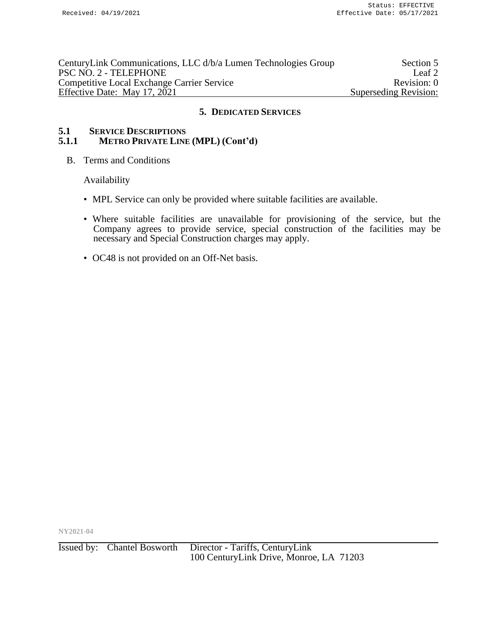| CenturyLink Communications, LLC d/b/a Lumen Technologies Group | Section 5             |
|----------------------------------------------------------------|-----------------------|
| PSC NO. 2 - TELEPHONE                                          | Leaf 2                |
| <b>Competitive Local Exchange Carrier Service</b>              | Revision: 0           |
| Effective Date: May 17, 2021                                   | Superseding Revision: |

# **5.1 SERVICE DESCRIPTIONS**<br>**5.1.1** METRO PRIVATE LINE **5.1.1 METRO PRIVATE LINE (MPL) (Cont'd)**

B. Terms and Conditions

Availability

- MPL Service can only be provided where suitable facilities are available.
- Where suitable facilities are unavailable for provisioning of the service, but the Company agrees to provide service, special construction of the facilities may be necessary and Special Construction charges may apply.
- OC48 is not provided on an Off-Net basis.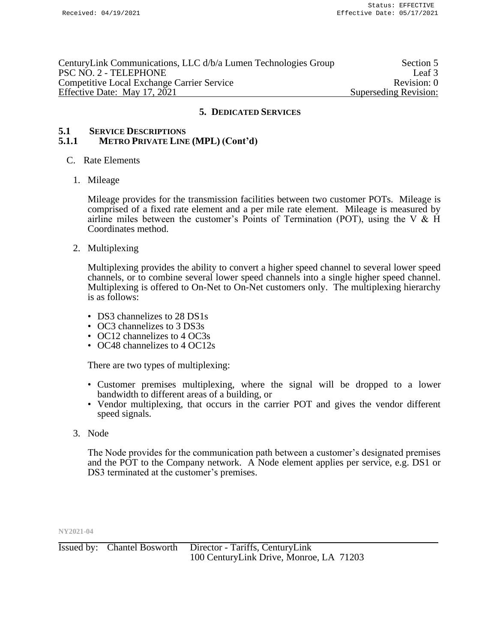| CenturyLink Communications, LLC d/b/a Lumen Technologies Group | Section 5             |
|----------------------------------------------------------------|-----------------------|
| PSC NO. 2 - TELEPHONE                                          | Leaf 3                |
| <b>Competitive Local Exchange Carrier Service</b>              | Revision: 0           |
| Effective Date: May 17, 2021                                   | Superseding Revision: |

# **5.1 SERVICE DESCRIPTIONS 5.1.1 METRO PRIVATE LINE (MPL) (Cont'd)**

- C. Rate Elements
	- 1. Mileage

Mileage provides for the transmission facilities between two customer POTs. Mileage is comprised of a fixed rate element and a per mile rate element. Mileage is measured by airline miles between the customer's Points of Termination (POT), using the V  $&$  H Coordinates method.

2. Multiplexing

Multiplexing provides the ability to convert a higher speed channel to several lower speed channels, or to combine several lower speed channels into a single higher speed channel. Multiplexing is offered to On-Net to On-Net customers only. The multiplexing hierarchy is as follows:

- DS3 channelizes to 28 DS1s
- OC3 channelizes to 3 DS3s
- OC12 channelizes to 4 OC3s
- OC48 channelizes to 4 OC12s

There are two types of multiplexing:

- Customer premises multiplexing, where the signal will be dropped to a lower bandwidth to different areas of a building, or
- Vendor multiplexing, that occurs in the carrier POT and gives the vendor different speed signals.
- 3. Node

The Node provides for the communication path between a customer's designated premises and the POT to the Company network. A Node element applies per service, e.g. DS1 or DS3 terminated at the customer's premises.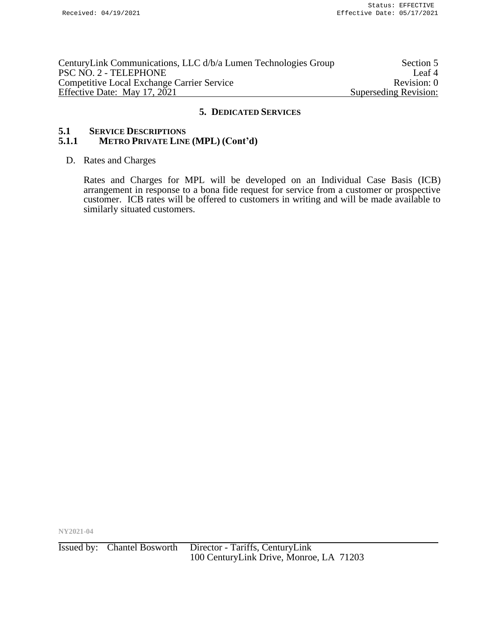| CenturyLink Communications, LLC d/b/a Lumen Technologies Group | Section 5             |
|----------------------------------------------------------------|-----------------------|
| PSC NO. 2 - TELEPHONE                                          | Leaf <sup>4</sup>     |
| <b>Competitive Local Exchange Carrier Service</b>              | Revision: 0           |
| Effective Date: May 17, 2021                                   | Superseding Revision: |

# **5.1 SERVICE DESCRIPTIONS**<br>**5.1.1** METRO PRIVATE LINE **5.1.1 METRO PRIVATE LINE (MPL) (Cont'd)**

### D. Rates and Charges

Rates and Charges for MPL will be developed on an Individual Case Basis (ICB) arrangement in response to a bona fide request for service from a customer or prospective customer. ICB rates will be offered to customers in writing and will be made available to similarly situated customers.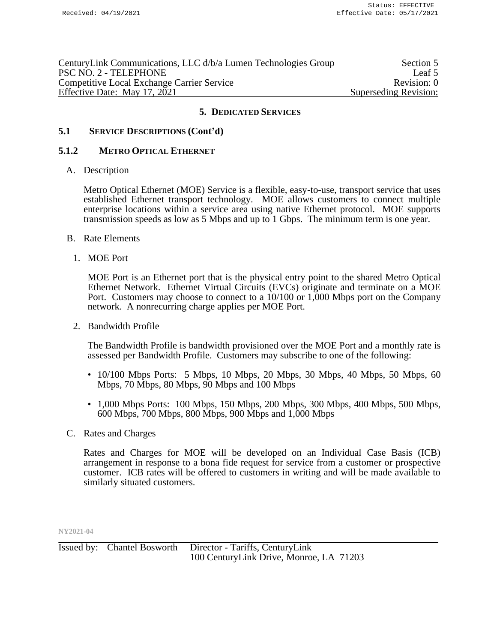| CenturyLink Communications, LLC d/b/a Lumen Technologies Group | Section 5             |
|----------------------------------------------------------------|-----------------------|
| PSC NO. 2 - TELEPHONE                                          | Leaf 5                |
| <b>Competitive Local Exchange Carrier Service</b>              | Revision: 0           |
| Effective Date: May 17, 2021                                   | Superseding Revision: |

# **5.1 SERVICE DESCRIPTIONS (Cont'd)**

### **5.1.2 METRO OPTICAL ETHERNET**

### A. Description

Metro Optical Ethernet (MOE) Service is a flexible, easy-to-use, transport service that uses established Ethernet transport technology. MOE allows customers to connect multiple enterprise locations within a service area using native Ethernet protocol. MOE supports transmission speeds as low as 5 Mbps and up to 1 Gbps. The minimum term is one year.

- B. Rate Elements
	- 1. MOE Port

MOE Port is an Ethernet port that is the physical entry point to the shared Metro Optical Ethernet Network. Ethernet Virtual Circuits (EVCs) originate and terminate on a MOE Port. Customers may choose to connect to a 10/100 or 1,000 Mbps port on the Company network. A nonrecurring charge applies per MOE Port.

2. Bandwidth Profile

The Bandwidth Profile is bandwidth provisioned over the MOE Port and a monthly rate is assessed per Bandwidth Profile. Customers may subscribe to one of the following:

- $10/100$  Mbps Ports: 5 Mbps, 10 Mbps, 20 Mbps, 30 Mbps, 40 Mbps, 50 Mbps, 60 Mbps, 70 Mbps, 80 Mbps, 90 Mbps and 100 Mbps
- $1,000$  Mbps Ports:  $100$  Mbps,  $150$  Mbps,  $200$  Mbps,  $300$  Mbps,  $400$  Mbps,  $500$  Mbps, 600 Mbps, 700 Mbps, 800 Mbps, 900 Mbps and 1,000 Mbps
- C. Rates and Charges

Rates and Charges for MOE will be developed on an Individual Case Basis (ICB) arrangement in response to a bona fide request for service from a customer or prospective customer. ICB rates will be offered to customers in writing and will be made available to similarly situated customers.